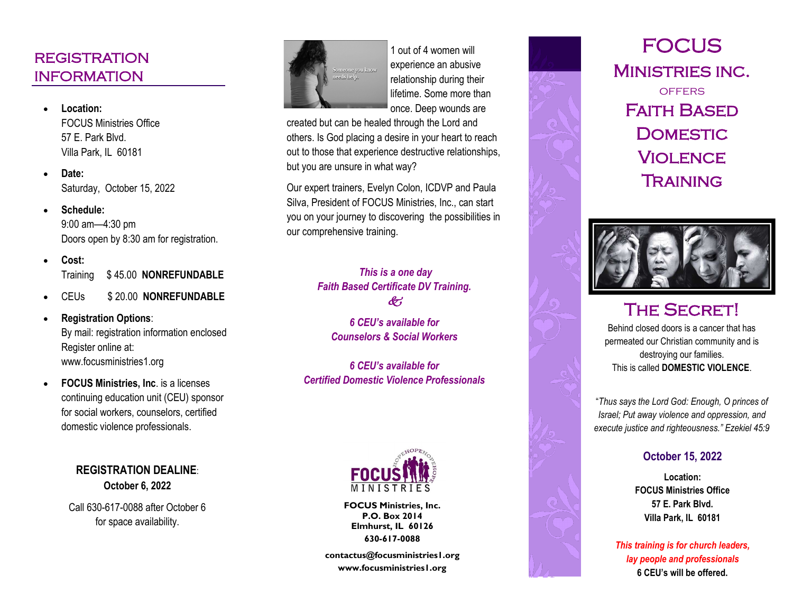## **REGISTRATION** INFORMATION

- FOCUS Ministries Office 57 E. Park Blvd. Villa Park, IL 60181
- **Date:** Saturday, October 15, 2022
- **Schedule:**  9:00 am —4:30 pm Doors open by 8:30 am for registration.
- **Cost:** Training \$ 45.00 **NONREFUNDABLE**
- CEUs \$ 20.00 **NONREFUNDABLE**
- **Registration Options**: By mail: registration information enclosed Register online at: www.focusministries1.org
- **FOCUS Ministries, Inc**. is a licenses continuing education unit (CEU) sponsor for social workers, counselors, certified domestic violence professionals.

**REGISTRATION DEALINE**: **October 6, 2022**

Call 630 -617 -0088 after October 6 for space availability.



1 out of 4 women will experience an abusive relationship during their lifetime. Some more than once. Deep wounds are

created but can be healed through the Lord and others. Is God placing a desire in your heart to reach out to those that experience destructive relationships, but you are unsure in what way?

Our expert trainers, Evelyn Colon, ICDVP and Paula Silva, President of FOCUS Ministries, Inc., can start you on your journey to discovering the possibilities in our comprehensive training.

## *This is a one day Faith Based Certificate DV Training.*  $\mathscr{E}'$

*6 CEU's available for Counselors & Social Workers*

*6 CEU's available for Certified Domestic Violence Professionals* 



**FOCUS Ministries, Inc. P.O. Box 2014 Elmhurst, IL 60126 630 -617 -0088**

**contactus@focusministries1.org www.focusministries1.org**





## **THE SECRET!**

Behind closed doors is a cancer that has permeated our Christian community and is destroying our families. This is called **DOMESTIC VIOLENCE**.

"*Thus says the Lord God: Enough, O princes of Israel; Put away violence and oppression, and execute justice and righteousness." Ezekiel 45:9*

## **October 15, 2022**

**Location: FOCUS Ministries Office 57 E. Park Blvd. Villa Park, IL 60181**

*This training is for church leaders, lay people and professionals* **6 CEU's will be offered.**